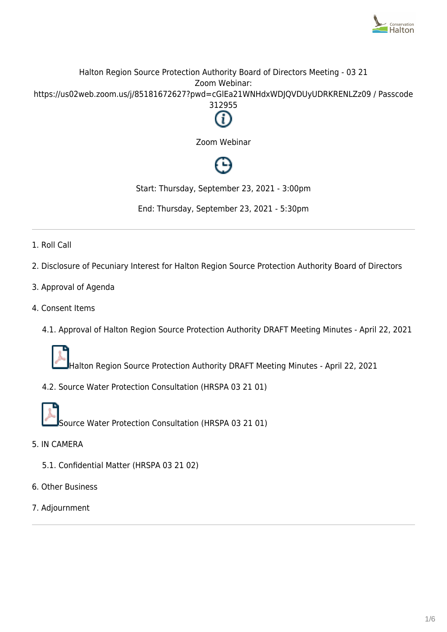

## Halton Region Source Protection Authority Board of Directors Meeting - 03 21 Zoom Webinar: https://us02web.zoom.us/j/85181672627?pwd=cGlEa21WNHdxWDJQVDUyUDRKRENLZz09 / Passcode 312955



Zoom Webinar

Start: Thursday, September 23, 2021 - 3:00pm

End: Thursday, September 23, 2021 - 5:30pm

- 1. Roll Call
- 2. Disclosure of Pecuniary Interest for Halton Region Source Protection Authority Board of Directors
- 3. Approval of Agenda
- 4. Consent Items
	- 4.1. Approval of Halton Region Source Protection Authority DRAFT Meeting Minutes April 22, 2021



Halton Region Source Protection Authority DRAFT Meeting Minutes - April 22, 2021

4.2. Source Water Protection Consultation (HRSPA 03 21 01)



- 5. IN CAMERA
	- 5.1. Confidential Matter (HRSPA 03 21 02)
- 6. Other Business
- 7. Adjournment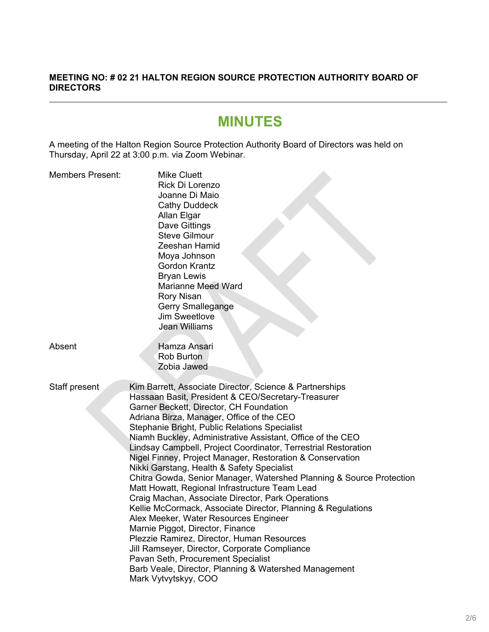#### **MEETING NO: # 02 21 HALTON REGION SOURCE PROTECTION AUTHORITY BOARD OF DIRECTORS**

# **MINUTES**

A meeting of the Halton Region Source Protection Authority Board of Directors was held on Thursday, April 22 at 3:00 p.m. via Zoom Webinar.

| <b>Members Present:</b> | <b>Mike Cluett</b><br>Rick Di Lorenzo<br>Joanne Di Maio<br><b>Cathy Duddeck</b><br>Allan Elgar<br>Dave Gittings<br><b>Steve Gilmour</b><br>Zeeshan Hamid<br>Moya Johnson<br><b>Gordon Krantz</b><br><b>Bryan Lewis</b><br><b>Marianne Meed Ward</b><br><b>Rory Nisan</b><br><b>Gerry Smallegange</b><br><b>Jim Sweetlove</b><br>Jean Williams                                                                                                                                                                                                                                                                                                                                                                                                                                                                                                                                                                                                                                                                                                       |
|-------------------------|-----------------------------------------------------------------------------------------------------------------------------------------------------------------------------------------------------------------------------------------------------------------------------------------------------------------------------------------------------------------------------------------------------------------------------------------------------------------------------------------------------------------------------------------------------------------------------------------------------------------------------------------------------------------------------------------------------------------------------------------------------------------------------------------------------------------------------------------------------------------------------------------------------------------------------------------------------------------------------------------------------------------------------------------------------|
| Absent                  | Hamza Ansari<br><b>Rob Burton</b><br>Zobia Jawed                                                                                                                                                                                                                                                                                                                                                                                                                                                                                                                                                                                                                                                                                                                                                                                                                                                                                                                                                                                                    |
| Staff present           | Kim Barrett, Associate Director, Science & Partnerships<br>Hassaan Basit, President & CEO/Secretary-Treasurer<br>Garner Beckett, Director, CH Foundation<br>Adriana Birza, Manager, Office of the CEO<br>Stephanie Bright, Public Relations Specialist<br>Niamh Buckley, Administrative Assistant, Office of the CEO<br>Lindsay Campbell, Project Coordinator, Terrestrial Restoration<br>Nigel Finney, Project Manager, Restoration & Conservation<br>Nikki Garstang, Health & Safety Specialist<br>Chitra Gowda, Senior Manager, Watershed Planning & Source Protection<br>Matt Howatt, Regional Infrastructure Team Lead<br>Craig Machan, Associate Director, Park Operations<br>Kellie McCormack, Associate Director, Planning & Regulations<br>Alex Meeker, Water Resources Engineer<br>Marnie Piggot, Director, Finance<br>Plezzie Ramirez, Director, Human Resources<br>Jill Ramseyer, Director, Corporate Compliance<br>Pavan Seth, Procurement Specialist<br>Barb Veale, Director, Planning & Watershed Management<br>Mark Vytvytskyy, COO |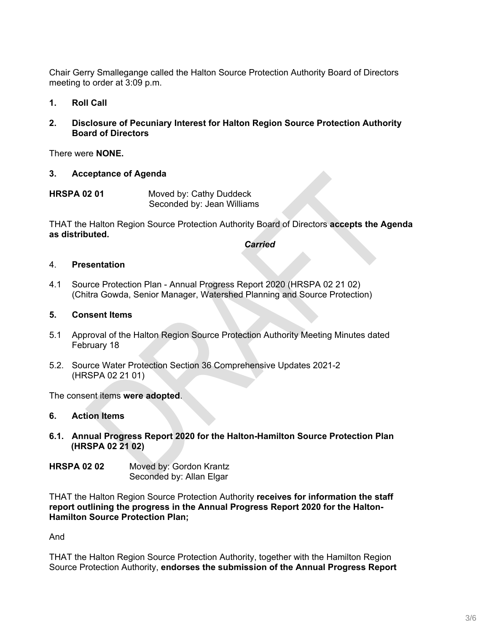Chair Gerry Smallegange called the Halton Source Protection Authority Board of Directors meeting to order at 3:09 p.m.

- **1. Roll Call**
- **2. Disclosure of Pecuniary Interest for Halton Region Source Protection Authority Board of Directors**

There were **NONE.**

- **3. Acceptance of Agenda**
- **HRSPA 02 01** Moved by: Cathy Duddeck Seconded by: Jean Williams

THAT the Halton Region Source Protection Authority Board of Directors **accepts the Agenda as distributed.**

*Carried*

#### 4. **Presentation**

4.1 Source Protection Plan - Annual Progress Report 2020 (HRSPA 02 21 02) (Chitra Gowda, Senior Manager, Watershed Planning and Source Protection)

#### **5. Consent Items**

- 5.1 Approval of the Halton Region Source Protection Authority Meeting Minutes dated February 18
- 5.2. Source Water Protection Section 36 Comprehensive Updates 2021-2 (HRSPA 02 21 01)

The consent items **were adopted**.

#### **6. Action Items**

**6.1. Annual Progress Report 2020 for the Halton-Hamilton Source Protection Plan (HRSPA 02 21 02)**

| <b>HRSPA 02 02</b> | Moved by: Gordon Krantz  |
|--------------------|--------------------------|
|                    | Seconded by: Allan Elgar |

THAT the Halton Region Source Protection Authority **receives for information the staff report outlining the progress in the Annual Progress Report 2020 for the Halton-Hamilton Source Protection Plan;**

And

THAT the Halton Region Source Protection Authority, together with the Hamilton Region Source Protection Authority, **endorses the submission of the Annual Progress Report**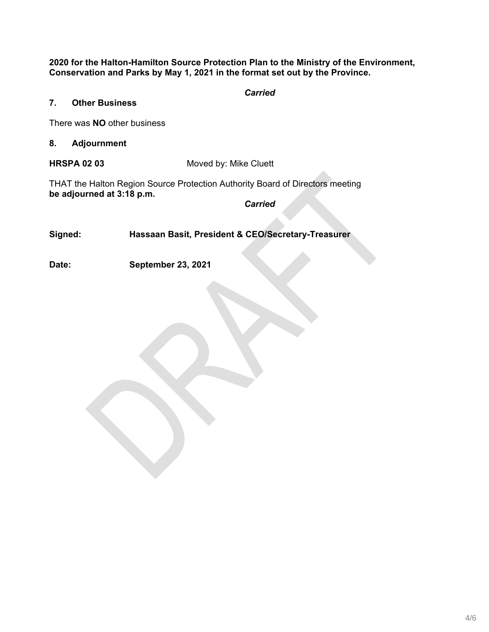**2020 for the Halton-Hamilton Source Protection Plan to the Ministry of the Environment, Conservation and Parks by May 1, 2021 in the format set out by the Province.**

*Carried*

### **7. Other Business**

There was **NO** other business

**8. Adjournment**

**HRSPA 02 03** Moved by: Mike Cluett

THAT the Halton Region Source Protection Authority Board of Directors meeting **be adjourned at 3:18 p.m.**

*Carried*

**Signed: Hassaan Basit, President & CEO/Secretary-Treasurer**

**Date: September 23, 2021**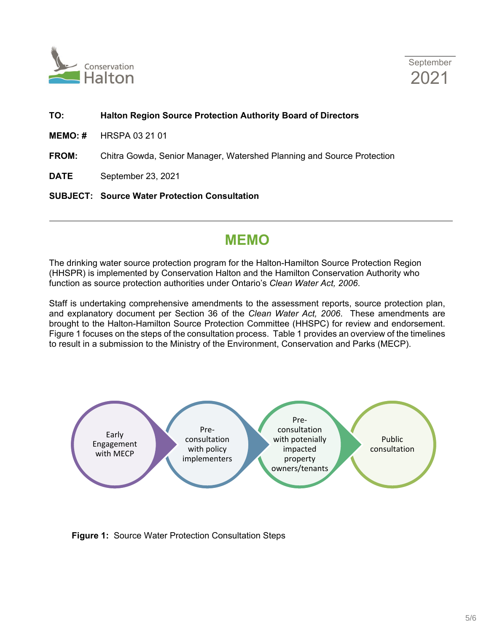



#### **TO: Halton Region Source Protection Authority Board of Directors**

- **MEMO: #** HRSPA 03 21 01
- **FROM:** Chitra Gowda, Senior Manager, Watershed Planning and Source Protection

**DATE** September 23, 2021

**SUBJECT: Source Water Protection Consultation**

# **MEMO**

The drinking water source protection program for the Halton-Hamilton Source Protection Region (HHSPR) is implemented by Conservation Halton and the Hamilton Conservation Authority who function as source protection authorities under Ontario's *Clean Water Act, 2006*.

Staff is undertaking comprehensive amendments to the assessment reports, source protection plan, and explanatory document per Section 36 of the *Clean Water Act, 2006*. These amendments are brought to the Halton-Hamilton Source Protection Committee (HHSPC) for review and endorsement. Figure 1 focuses on the steps of the consultation process. Table 1 provides an overview of the timelines to result in a submission to the Ministry of the Environment, Conservation and Parks (MECP).



**Figure 1:** Source Water Protection Consultation Steps